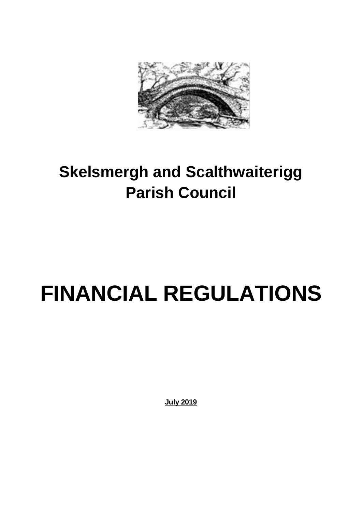

## **Skelsmergh and Scalthwaiterigg Parish Council**

# **FINANCIAL REGULATIONS**

**July 2019**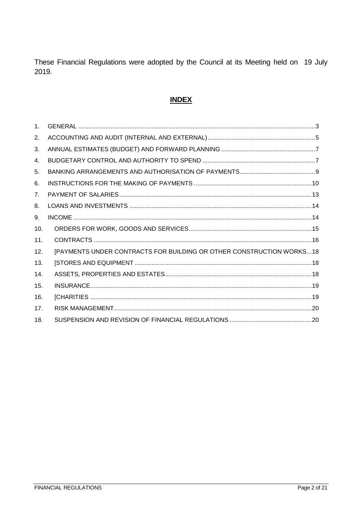These Financial Regulations were adopted by the Council at its Meeting held on 19 July 2019.

### **INDEX**

| 1 <sub>1</sub>  |                                                                      |
|-----------------|----------------------------------------------------------------------|
| 2.              |                                                                      |
| 3.              |                                                                      |
| 4.              |                                                                      |
| 5.              |                                                                      |
| 6.              |                                                                      |
| 7 <sub>1</sub>  |                                                                      |
| 8.              |                                                                      |
| 9.              |                                                                      |
| 10 <sub>1</sub> |                                                                      |
| 11.             |                                                                      |
| 12.             | [PAYMENTS UNDER CONTRACTS FOR BUILDING OR OTHER CONSTRUCTION WORKS18 |
| 13.             |                                                                      |
| 14.             |                                                                      |
| 15.             |                                                                      |
| 16.             |                                                                      |
| 17 <sub>1</sub> |                                                                      |
| 18.             |                                                                      |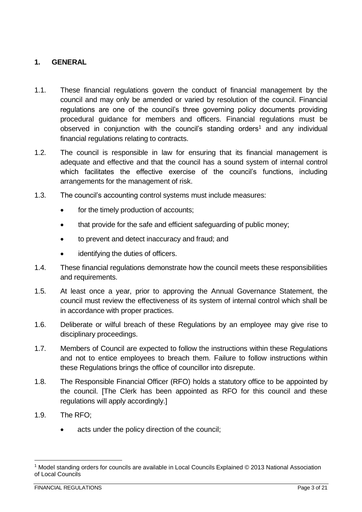#### <span id="page-2-0"></span>**1. GENERAL**

- 1.1. These financial regulations govern the conduct of financial management by the council and may only be amended or varied by resolution of the council. Financial regulations are one of the council's three governing policy documents providing procedural guidance for members and officers. Financial regulations must be observed in conjunction with the council's standing orders<sup>1</sup> and any individual financial regulations relating to contracts.
- 1.2. The council is responsible in law for ensuring that its financial management is adequate and effective and that the council has a sound system of internal control which facilitates the effective exercise of the council's functions, including arrangements for the management of risk.
- 1.3. The council's accounting control systems must include measures:
	- for the timely production of accounts;
	- that provide for the safe and efficient safeguarding of public money;
	- to prevent and detect inaccuracy and fraud; and
	- identifying the duties of officers.
- 1.4. These financial regulations demonstrate how the council meets these responsibilities and requirements.
- 1.5. At least once a year, prior to approving the Annual Governance Statement, the council must review the effectiveness of its system of internal control which shall be in accordance with proper practices.
- 1.6. Deliberate or wilful breach of these Regulations by an employee may give rise to disciplinary proceedings.
- 1.7. Members of Council are expected to follow the instructions within these Regulations and not to entice employees to breach them. Failure to follow instructions within these Regulations brings the office of councillor into disrepute.
- 1.8. The Responsible Financial Officer (RFO) holds a statutory office to be appointed by the council. [The Clerk has been appointed as RFO for this council and these regulations will apply accordingly.]
- 1.9. The RFO;

1

acts under the policy direction of the council;

<sup>1</sup> Model standing orders for councils are available in Local Councils Explained © 2013 National Association of Local Councils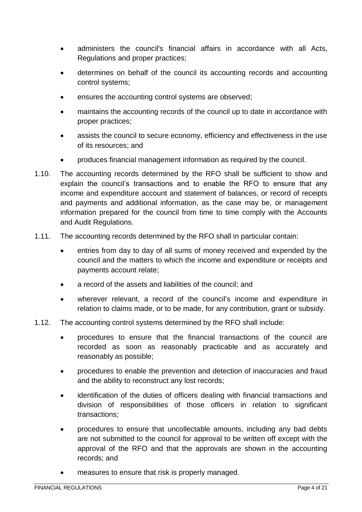- administers the council's financial affairs in accordance with all Acts, Regulations and proper practices;
- determines on behalf of the council its accounting records and accounting control systems;
- ensures the accounting control systems are observed;
- maintains the accounting records of the council up to date in accordance with proper practices;
- assists the council to secure economy, efficiency and effectiveness in the use of its resources; and
- produces financial management information as required by the council.
- 1.10. The accounting records determined by the RFO shall be sufficient to show and explain the council's transactions and to enable the RFO to ensure that any income and expenditure account and statement of balances, or record of receipts and payments and additional information, as the case may be, or management information prepared for the council from time to time comply with the Accounts and Audit Regulations.
- 1.11. The accounting records determined by the RFO shall in particular contain:
	- entries from day to day of all sums of money received and expended by the council and the matters to which the income and expenditure or receipts and payments account relate;
	- a record of the assets and liabilities of the council; and
	- wherever relevant, a record of the council's income and expenditure in relation to claims made, or to be made, for any contribution, grant or subsidy.
- 1.12. The accounting control systems determined by the RFO shall include:
	- procedures to ensure that the financial transactions of the council are recorded as soon as reasonably practicable and as accurately and reasonably as possible;
	- procedures to enable the prevention and detection of inaccuracies and fraud and the ability to reconstruct any lost records;
	- identification of the duties of officers dealing with financial transactions and division of responsibilities of those officers in relation to significant transactions;
	- procedures to ensure that uncollectable amounts, including any bad debts are not submitted to the council for approval to be written off except with the approval of the RFO and that the approvals are shown in the accounting records; and
	- measures to ensure that risk is properly managed.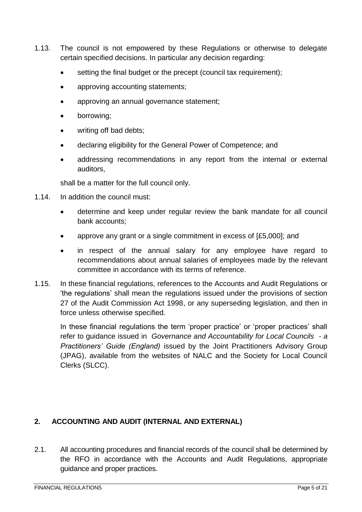- 1.13. The council is not empowered by these Regulations or otherwise to delegate certain specified decisions. In particular any decision regarding:
	- setting the final budget or the precept (council tax requirement);
	- approving accounting statements;
	- approving an annual governance statement;
	- borrowing;
	- writing off bad debts:
	- declaring eligibility for the General Power of Competence; and
	- addressing recommendations in any report from the internal or external auditors,

shall be a matter for the full council only.

- 1.14. In addition the council must:
	- determine and keep under regular review the bank mandate for all council bank accounts;
	- approve any grant or a single commitment in excess of [£5,000]; and
	- in respect of the annual salary for any employee have regard to recommendations about annual salaries of employees made by the relevant committee in accordance with its terms of reference.
- 1.15. In these financial regulations, references to the Accounts and Audit Regulations or 'the regulations' shall mean the regulations issued under the provisions of section 27 of the Audit Commission Act 1998, or any superseding legislation, and then in force unless otherwise specified.

In these financial regulations the term 'proper practice' or 'proper practices' shall refer to guidance issued in *Governance and Accountability for Local Councils - a Practitioners' Guide (England)* issued by the Joint Practitioners Advisory Group (JPAG), available from the websites of NALC and the Society for Local Council Clerks (SLCC).

#### <span id="page-4-0"></span>**2. ACCOUNTING AND AUDIT (INTERNAL AND EXTERNAL)**

2.1. All accounting procedures and financial records of the council shall be determined by the RFO in accordance with the Accounts and Audit Regulations, appropriate guidance and proper practices.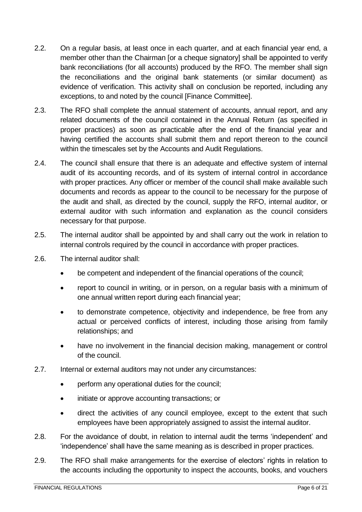- 2.2. On a regular basis, at least once in each quarter, and at each financial year end, a member other than the Chairman [or a cheque signatory] shall be appointed to verify bank reconciliations (for all accounts) produced by the RFO. The member shall sign the reconciliations and the original bank statements (or similar document) as evidence of verification. This activity shall on conclusion be reported, including any exceptions, to and noted by the council [Finance Committee].
- 2.3. The RFO shall complete the annual statement of accounts, annual report, and any related documents of the council contained in the Annual Return (as specified in proper practices) as soon as practicable after the end of the financial year and having certified the accounts shall submit them and report thereon to the council within the timescales set by the Accounts and Audit Regulations.
- 2.4. The council shall ensure that there is an adequate and effective system of internal audit of its accounting records, and of its system of internal control in accordance with proper practices. Any officer or member of the council shall make available such documents and records as appear to the council to be necessary for the purpose of the audit and shall, as directed by the council, supply the RFO, internal auditor, or external auditor with such information and explanation as the council considers necessary for that purpose.
- 2.5. The internal auditor shall be appointed by and shall carry out the work in relation to internal controls required by the council in accordance with proper practices.
- 2.6. The internal auditor shall:
	- be competent and independent of the financial operations of the council;
	- report to council in writing, or in person, on a regular basis with a minimum of one annual written report during each financial year;
	- to demonstrate competence, objectivity and independence, be free from any actual or perceived conflicts of interest, including those arising from family relationships; and
	- have no involvement in the financial decision making, management or control of the council.
- 2.7. Internal or external auditors may not under any circumstances:
	- perform any operational duties for the council;
	- initiate or approve accounting transactions; or
	- direct the activities of any council employee, except to the extent that such employees have been appropriately assigned to assist the internal auditor.
- 2.8. For the avoidance of doubt, in relation to internal audit the terms 'independent' and 'independence' shall have the same meaning as is described in proper practices.
- 2.9. The RFO shall make arrangements for the exercise of electors' rights in relation to the accounts including the opportunity to inspect the accounts, books, and vouchers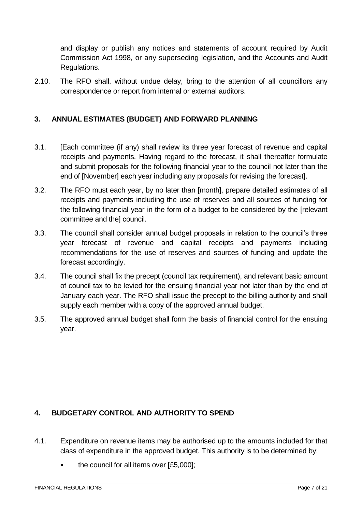and display or publish any notices and statements of account required by Audit Commission Act 1998, or any superseding legislation, and the Accounts and Audit Regulations.

2.10. The RFO shall, without undue delay, bring to the attention of all councillors any correspondence or report from internal or external auditors.

#### <span id="page-6-0"></span>**3. ANNUAL ESTIMATES (BUDGET) AND FORWARD PLANNING**

- 3.1. [Each committee (if any) shall review its three year forecast of revenue and capital receipts and payments. Having regard to the forecast, it shall thereafter formulate and submit proposals for the following financial year to the council not later than the end of [November] each year including any proposals for revising the forecast].
- 3.2. The RFO must each year, by no later than [month], prepare detailed estimates of all receipts and payments including the use of reserves and all sources of funding for the following financial year in the form of a budget to be considered by the [relevant committee and the] council.
- 3.3. The council shall consider annual budget proposals in relation to the council's three year forecast of revenue and capital receipts and payments including recommendations for the use of reserves and sources of funding and update the forecast accordingly.
- 3.4. The council shall fix the precept (council tax requirement), and relevant basic amount of council tax to be levied for the ensuing financial year not later than by the end of January each year. The RFO shall issue the precept to the billing authority and shall supply each member with a copy of the approved annual budget.
- 3.5. The approved annual budget shall form the basis of financial control for the ensuing year.

#### <span id="page-6-1"></span>**4. BUDGETARY CONTROL AND AUTHORITY TO SPEND**

- 4.1. Expenditure on revenue items may be authorised up to the amounts included for that class of expenditure in the approved budget. This authority is to be determined by:
	- the council for all items over [£5,000];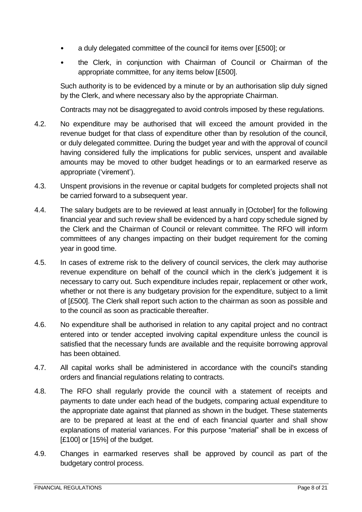- a duly delegated committee of the council for items over [£500]; or
- the Clerk, in conjunction with Chairman of Council or Chairman of the appropriate committee, for any items below [£500].

Such authority is to be evidenced by a minute or by an authorisation slip duly signed by the Clerk, and where necessary also by the appropriate Chairman.

Contracts may not be disaggregated to avoid controls imposed by these regulations.

- 4.2. No expenditure may be authorised that will exceed the amount provided in the revenue budget for that class of expenditure other than by resolution of the council, or duly delegated committee. During the budget year and with the approval of council having considered fully the implications for public services, unspent and available amounts may be moved to other budget headings or to an earmarked reserve as appropriate ('virement').
- 4.3. Unspent provisions in the revenue or capital budgets for completed projects shall not be carried forward to a subsequent year.
- 4.4. The salary budgets are to be reviewed at least annually in [October] for the following financial year and such review shall be evidenced by a hard copy schedule signed by the Clerk and the Chairman of Council or relevant committee. The RFO will inform committees of any changes impacting on their budget requirement for the coming year in good time.
- 4.5. In cases of extreme risk to the delivery of council services, the clerk may authorise revenue expenditure on behalf of the council which in the clerk's judgement it is necessary to carry out. Such expenditure includes repair, replacement or other work, whether or not there is any budgetary provision for the expenditure, subject to a limit of [£500]. The Clerk shall report such action to the chairman as soon as possible and to the council as soon as practicable thereafter.
- 4.6. No expenditure shall be authorised in relation to any capital project and no contract entered into or tender accepted involving capital expenditure unless the council is satisfied that the necessary funds are available and the requisite borrowing approval has been obtained.
- 4.7. All capital works shall be administered in accordance with the council's standing orders and financial regulations relating to contracts.
- 4.8. The RFO shall regularly provide the council with a statement of receipts and payments to date under each head of the budgets, comparing actual expenditure to the appropriate date against that planned as shown in the budget. These statements are to be prepared at least at the end of each financial quarter and shall show explanations of material variances. For this purpose "material" shall be in excess of [£100] or [15%] of the budget.
- 4.9. Changes in earmarked reserves shall be approved by council as part of the budgetary control process.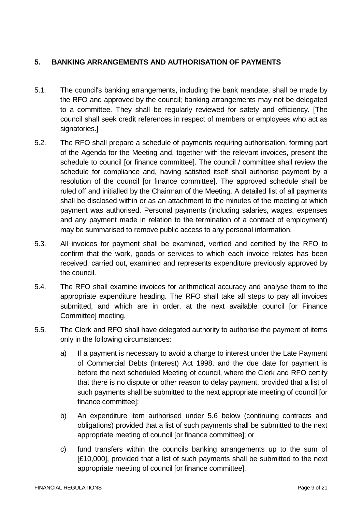#### <span id="page-8-0"></span>**5. BANKING ARRANGEMENTS AND AUTHORISATION OF PAYMENTS**

- 5.1. The council's banking arrangements, including the bank mandate, shall be made by the RFO and approved by the council; banking arrangements may not be delegated to a committee. They shall be regularly reviewed for safety and efficiency. [The council shall seek credit references in respect of members or employees who act as signatories.]
- 5.2. The RFO shall prepare a schedule of payments requiring authorisation, forming part of the Agenda for the Meeting and, together with the relevant invoices, present the schedule to council [or finance committee]. The council / committee shall review the schedule for compliance and, having satisfied itself shall authorise payment by a resolution of the council [or finance committee]. The approved schedule shall be ruled off and initialled by the Chairman of the Meeting. A detailed list of all payments shall be disclosed within or as an attachment to the minutes of the meeting at which payment was authorised. Personal payments (including salaries, wages, expenses and any payment made in relation to the termination of a contract of employment) may be summarised to remove public access to any personal information.
- 5.3. All invoices for payment shall be examined, verified and certified by the RFO to confirm that the work, goods or services to which each invoice relates has been received, carried out, examined and represents expenditure previously approved by the council.
- 5.4. The RFO shall examine invoices for arithmetical accuracy and analyse them to the appropriate expenditure heading. The RFO shall take all steps to pay all invoices submitted, and which are in order, at the next available council [or Finance Committee] meeting.
- 5.5. The Clerk and RFO shall have delegated authority to authorise the payment of items only in the following circumstances:
	- a) If a payment is necessary to avoid a charge to interest under the Late Payment of Commercial Debts (Interest) Act 1998, and the due date for payment is before the next scheduled Meeting of council, where the Clerk and RFO certify that there is no dispute or other reason to delay payment, provided that a list of such payments shall be submitted to the next appropriate meeting of council [or finance committee];
	- b) An expenditure item authorised under 5.6 below (continuing contracts and obligations) provided that a list of such payments shall be submitted to the next appropriate meeting of council [or finance committee]; or
	- c) fund transfers within the councils banking arrangements up to the sum of [£10,000], provided that a list of such payments shall be submitted to the next appropriate meeting of council [or finance committee].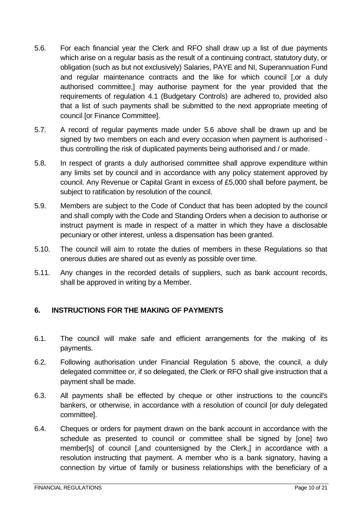- 5.6. For each financial year the Clerk and RFO shall draw up a list of due payments which arise on a regular basis as the result of a continuing contract, statutory duty, or obligation (such as but not exclusively) Salaries, PAYE and NI, Superannuation Fund and regular maintenance contracts and the like for which council [,or a duly authorised committee,] may authorise payment for the year provided that the requirements of regulation 4.1 (Budgetary Controls) are adhered to, provided also that a list of such payments shall be submitted to the next appropriate meeting of council [or Finance Committee].
- 5.7. A record of regular payments made under 5.6 above shall be drawn up and be signed by two members on each and every occasion when payment is authorised thus controlling the risk of duplicated payments being authorised and / or made.
- 5.8. In respect of grants a duly authorised committee shall approve expenditure within any limits set by council and in accordance with any policy statement approved by council. Any Revenue or Capital Grant in excess of £5,000 shall before payment, be subject to ratification by resolution of the council.
- 5.9. Members are subject to the Code of Conduct that has been adopted by the council and shall comply with the Code and Standing Orders when a decision to authorise or instruct payment is made in respect of a matter in which they have a disclosable pecuniary or other interest, unless a dispensation has been granted.
- 5.10. The council will aim to rotate the duties of members in these Regulations so that onerous duties are shared out as evenly as possible over time.
- 5.11. Any changes in the recorded details of suppliers, such as bank account records, shall be approved in writing by a Member.

#### <span id="page-9-0"></span>**6. INSTRUCTIONS FOR THE MAKING OF PAYMENTS**

- 6.1. The council will make safe and efficient arrangements for the making of its payments.
- 6.2. Following authorisation under Financial Regulation 5 above, the council, a duly delegated committee or, if so delegated, the Clerk or RFO shall give instruction that a payment shall be made.
- 6.3. All payments shall be effected by cheque or other instructions to the council's bankers, or otherwise, in accordance with a resolution of council [or duly delegated committee].
- 6.4. Cheques or orders for payment drawn on the bank account in accordance with the schedule as presented to council or committee shall be signed by [one] two member[s] of council [,and countersigned by the Clerk,] in accordance with a resolution instructing that payment. A member who is a bank signatory, having a connection by virtue of family or business relationships with the beneficiary of a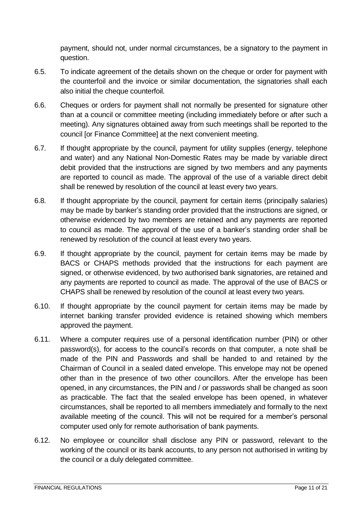payment, should not, under normal circumstances, be a signatory to the payment in question.

- 6.5. To indicate agreement of the details shown on the cheque or order for payment with the counterfoil and the invoice or similar documentation, the signatories shall each also initial the cheque counterfoil.
- 6.6. Cheques or orders for payment shall not normally be presented for signature other than at a council or committee meeting (including immediately before or after such a meeting). Any signatures obtained away from such meetings shall be reported to the council [or Finance Committee] at the next convenient meeting.
- 6.7. If thought appropriate by the council, payment for utility supplies (energy, telephone and water) and any National Non-Domestic Rates may be made by variable direct debit provided that the instructions are signed by two members and any payments are reported to council as made. The approval of the use of a variable direct debit shall be renewed by resolution of the council at least every two years.
- 6.8. If thought appropriate by the council, payment for certain items (principally salaries) may be made by banker's standing order provided that the instructions are signed, or otherwise evidenced by two members are retained and any payments are reported to council as made. The approval of the use of a banker's standing order shall be renewed by resolution of the council at least every two years.
- 6.9. If thought appropriate by the council, payment for certain items may be made by BACS or CHAPS methods provided that the instructions for each payment are signed, or otherwise evidenced, by two authorised bank signatories, are retained and any payments are reported to council as made. The approval of the use of BACS or CHAPS shall be renewed by resolution of the council at least every two years.
- 6.10. If thought appropriate by the council payment for certain items may be made by internet banking transfer provided evidence is retained showing which members approved the payment.
- 6.11. Where a computer requires use of a personal identification number (PIN) or other password(s), for access to the council's records on that computer, a note shall be made of the PIN and Passwords and shall be handed to and retained by the Chairman of Council in a sealed dated envelope. This envelope may not be opened other than in the presence of two other councillors. After the envelope has been opened, in any circumstances, the PIN and / or passwords shall be changed as soon as practicable. The fact that the sealed envelope has been opened, in whatever circumstances, shall be reported to all members immediately and formally to the next available meeting of the council. This will not be required for a member's personal computer used only for remote authorisation of bank payments.
- 6.12. No employee or councillor shall disclose any PIN or password, relevant to the working of the council or its bank accounts, to any person not authorised in writing by the council or a duly delegated committee.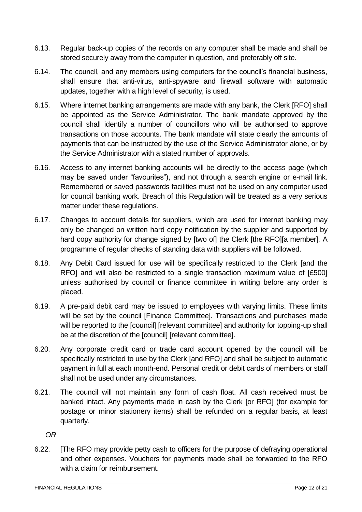- 6.13. Regular back-up copies of the records on any computer shall be made and shall be stored securely away from the computer in question, and preferably off site.
- 6.14. The council, and any members using computers for the council's financial business, shall ensure that anti-virus, anti-spyware and firewall software with automatic updates, together with a high level of security, is used.
- 6.15. Where internet banking arrangements are made with any bank, the Clerk [RFO] shall be appointed as the Service Administrator. The bank mandate approved by the council shall identify a number of councillors who will be authorised to approve transactions on those accounts. The bank mandate will state clearly the amounts of payments that can be instructed by the use of the Service Administrator alone, or by the Service Administrator with a stated number of approvals.
- 6.16. Access to any internet banking accounts will be directly to the access page (which may be saved under "favourites"), and not through a search engine or e-mail link. Remembered or saved passwords facilities must not be used on any computer used for council banking work. Breach of this Regulation will be treated as a very serious matter under these regulations.
- 6.17. Changes to account details for suppliers, which are used for internet banking may only be changed on written hard copy notification by the supplier and supported by hard copy authority for change signed by [two of] the Clerk [the RFO][a member]. A programme of regular checks of standing data with suppliers will be followed.
- 6.18. Any Debit Card issued for use will be specifically restricted to the Clerk [and the RFO] and will also be restricted to a single transaction maximum value of [£500] unless authorised by council or finance committee in writing before any order is placed.
- 6.19. A pre-paid debit card may be issued to employees with varying limits. These limits will be set by the council [Finance Committee]. Transactions and purchases made will be reported to the [council] [relevant committee] and authority for topping-up shall be at the discretion of the [council] [relevant committee].
- 6.20. Any corporate credit card or trade card account opened by the council will be specifically restricted to use by the Clerk [and RFO] and shall be subject to automatic payment in full at each month-end. Personal credit or debit cards of members or staff shall not be used under any circumstances.
- 6.21. The council will not maintain any form of cash float. All cash received must be banked intact. Any payments made in cash by the Clerk [or RFO] (for example for postage or minor stationery items) shall be refunded on a regular basis, at least quarterly.

*OR* 

6.22. [The RFO may provide petty cash to officers for the purpose of defraying operational and other expenses. Vouchers for payments made shall be forwarded to the RFO with a claim for reimbursement.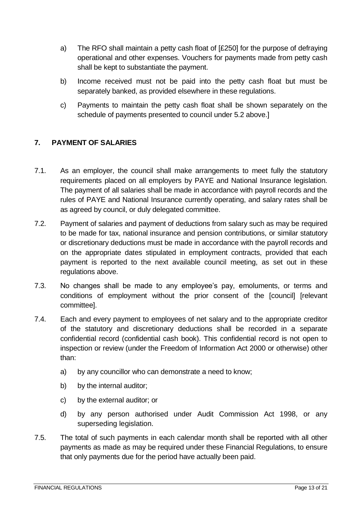- a) The RFO shall maintain a petty cash float of [£250] for the purpose of defraying operational and other expenses. Vouchers for payments made from petty cash shall be kept to substantiate the payment.
- b) Income received must not be paid into the petty cash float but must be separately banked, as provided elsewhere in these regulations.
- c) Payments to maintain the petty cash float shall be shown separately on the schedule of payments presented to council under 5.2 above.]

#### <span id="page-12-0"></span>**7. PAYMENT OF SALARIES**

- 7.1. As an employer, the council shall make arrangements to meet fully the statutory requirements placed on all employers by PAYE and National Insurance legislation. The payment of all salaries shall be made in accordance with payroll records and the rules of PAYE and National Insurance currently operating, and salary rates shall be as agreed by council, or duly delegated committee.
- 7.2. Payment of salaries and payment of deductions from salary such as may be required to be made for tax, national insurance and pension contributions, or similar statutory or discretionary deductions must be made in accordance with the payroll records and on the appropriate dates stipulated in employment contracts, provided that each payment is reported to the next available council meeting, as set out in these regulations above.
- 7.3. No changes shall be made to any employee's pay, emoluments, or terms and conditions of employment without the prior consent of the [council] [relevant committee].
- 7.4. Each and every payment to employees of net salary and to the appropriate creditor of the statutory and discretionary deductions shall be recorded in a separate confidential record (confidential cash book). This confidential record is not open to inspection or review (under the Freedom of Information Act 2000 or otherwise) other than:
	- a) by any councillor who can demonstrate a need to know;
	- b) by the internal auditor;
	- c) by the external auditor; or
	- d) by any person authorised under Audit Commission Act 1998, or any superseding legislation.
- 7.5. The total of such payments in each calendar month shall be reported with all other payments as made as may be required under these Financial Regulations, to ensure that only payments due for the period have actually been paid.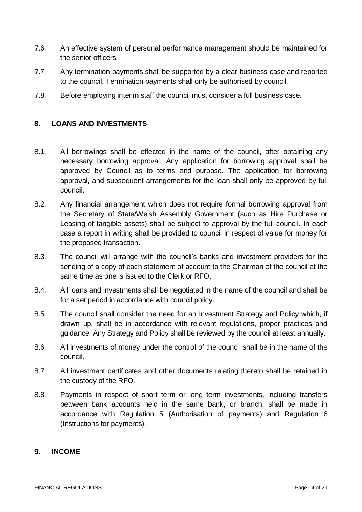- 7.6. An effective system of personal performance management should be maintained for the senior officers.
- 7.7. Any termination payments shall be supported by a clear business case and reported to the council. Termination payments shall only be authorised by council.
- 7.8. Before employing interim staff the council must consider a full business case.

#### <span id="page-13-0"></span>**8. LOANS AND INVESTMENTS**

- 8.1. All borrowings shall be effected in the name of the council, after obtaining any necessary borrowing approval. Any application for borrowing approval shall be approved by Council as to terms and purpose. The application for borrowing approval, and subsequent arrangements for the loan shall only be approved by full council.
- 8.2. Any financial arrangement which does not require formal borrowing approval from the Secretary of State/Welsh Assembly Government (such as Hire Purchase or Leasing of tangible assets) shall be subject to approval by the full council. In each case a report in writing shall be provided to council in respect of value for money for the proposed transaction.
- 8.3. The council will arrange with the council's banks and investment providers for the sending of a copy of each statement of account to the Chairman of the council at the same time as one is issued to the Clerk or RFO.
- 8.4. All loans and investments shall be negotiated in the name of the council and shall be for a set period in accordance with council policy.
- 8.5. The council shall consider the need for an Investment Strategy and Policy which, if drawn up, shall be in accordance with relevant regulations, proper practices and guidance. Any Strategy and Policy shall be reviewed by the council at least annually.
- 8.6. All investments of money under the control of the council shall be in the name of the council.
- 8.7. All investment certificates and other documents relating thereto shall be retained in the custody of the RFO.
- 8.8. Payments in respect of short term or long term investments, including transfers between bank accounts held in the same bank, or branch, shall be made in accordance with Regulation 5 (Authorisation of payments) and Regulation 6 (Instructions for payments).

#### <span id="page-13-1"></span>**9. INCOME**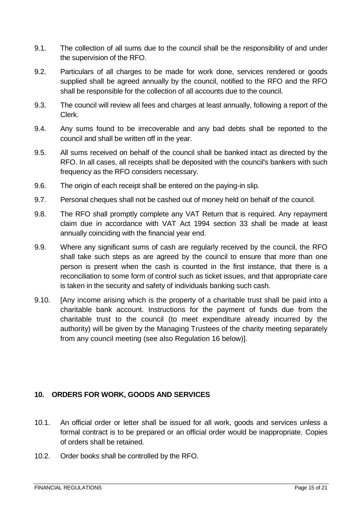- 9.1. The collection of all sums due to the council shall be the responsibility of and under the supervision of the RFO.
- 9.2. Particulars of all charges to be made for work done, services rendered or goods supplied shall be agreed annually by the council, notified to the RFO and the RFO shall be responsible for the collection of all accounts due to the council.
- 9.3. The council will review all fees and charges at least annually, following a report of the Clerk.
- 9.4. Any sums found to be irrecoverable and any bad debts shall be reported to the council and shall be written off in the year.
- 9.5. All sums received on behalf of the council shall be banked intact as directed by the RFO. In all cases, all receipts shall be deposited with the council's bankers with such frequency as the RFO considers necessary.
- 9.6. The origin of each receipt shall be entered on the paying-in slip.
- 9.7. Personal cheques shall not be cashed out of money held on behalf of the council.
- 9.8. The RFO shall promptly complete any VAT Return that is required. Any repayment claim due in accordance with VAT Act 1994 section 33 shall be made at least annually coinciding with the financial year end.
- 9.9. Where any significant sums of cash are regularly received by the council, the RFO shall take such steps as are agreed by the council to ensure that more than one person is present when the cash is counted in the first instance, that there is a reconciliation to some form of control such as ticket issues, and that appropriate care is taken in the security and safety of individuals banking such cash.
- 9.10. [Any income arising which is the property of a charitable trust shall be paid into a charitable bank account. Instructions for the payment of funds due from the charitable trust to the council (to meet expenditure already incurred by the authority) will be given by the Managing Trustees of the charity meeting separately from any council meeting (see also Regulation 16 below)].

#### <span id="page-14-0"></span>**10. ORDERS FOR WORK, GOODS AND SERVICES**

- 10.1. An official order or letter shall be issued for all work, goods and services unless a formal contract is to be prepared or an official order would be inappropriate. Copies of orders shall be retained.
- 10.2. Order books shall be controlled by the RFO.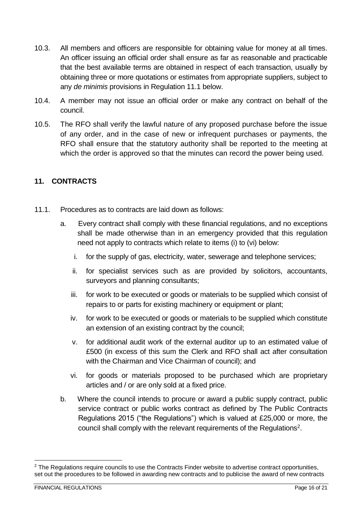- 10.3. All members and officers are responsible for obtaining value for money at all times. An officer issuing an official order shall ensure as far as reasonable and practicable that the best available terms are obtained in respect of each transaction, usually by obtaining three or more quotations or estimates from appropriate suppliers, subject to any *de minimis* provisions in Regulation 11.1 below.
- 10.4. A member may not issue an official order or make any contract on behalf of the council.
- 10.5. The RFO shall verify the lawful nature of any proposed purchase before the issue of any order, and in the case of new or infrequent purchases or payments, the RFO shall ensure that the statutory authority shall be reported to the meeting at which the order is approved so that the minutes can record the power being used.

#### <span id="page-15-0"></span>**11. CONTRACTS**

- 11.1. Procedures as to contracts are laid down as follows:
	- a. Every contract shall comply with these financial regulations, and no exceptions shall be made otherwise than in an emergency provided that this regulation need not apply to contracts which relate to items (i) to (vi) below:
		- i. for the supply of gas, electricity, water, sewerage and telephone services;
		- ii. for specialist services such as are provided by solicitors, accountants, surveyors and planning consultants;
		- iii. for work to be executed or goods or materials to be supplied which consist of repairs to or parts for existing machinery or equipment or plant;
		- iv. for work to be executed or goods or materials to be supplied which constitute an extension of an existing contract by the council;
		- v. for additional audit work of the external auditor up to an estimated value of £500 (in excess of this sum the Clerk and RFO shall act after consultation with the Chairman and Vice Chairman of council); and
		- vi. for goods or materials proposed to be purchased which are proprietary articles and / or are only sold at a fixed price.
	- b. Where the council intends to procure or award a public supply contract, public service contract or public works contract as defined by The Public Contracts Regulations 2015 ("the Regulations") which is valued at £25,000 or more, the council shall comply with the relevant requirements of the Regulations<sup>2</sup>.

1

<sup>&</sup>lt;sup>2</sup> The Regulations require councils to use the Contracts Finder website to advertise contract opportunities, set out the procedures to be followed in awarding new contracts and to publicise the award of new contracts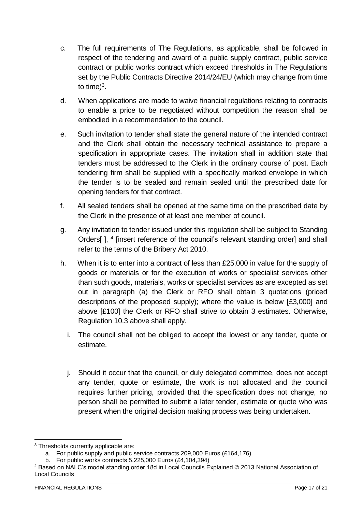- c. The full requirements of The Regulations, as applicable, shall be followed in respect of the tendering and award of a public supply contract, public service contract or public works contract which exceed thresholds in The Regulations set by the Public Contracts Directive 2014/24/EU (which may change from time to time)<sup>3</sup>.
- d. When applications are made to waive financial regulations relating to contracts to enable a price to be negotiated without competition the reason shall be embodied in a recommendation to the council.
- e. Such invitation to tender shall state the general nature of the intended contract and the Clerk shall obtain the necessary technical assistance to prepare a specification in appropriate cases. The invitation shall in addition state that tenders must be addressed to the Clerk in the ordinary course of post. Each tendering firm shall be supplied with a specifically marked envelope in which the tender is to be sealed and remain sealed until the prescribed date for opening tenders for that contract.
- f. All sealed tenders shall be opened at the same time on the prescribed date by the Clerk in the presence of at least one member of council.
- g. Any invitation to tender issued under this regulation shall be subject to Standing Orders[], <sup>4</sup> [insert reference of the council's relevant standing order] and shall refer to the terms of the Bribery Act 2010.
- h. When it is to enter into a contract of less than £25,000 in value for the supply of goods or materials or for the execution of works or specialist services other than such goods, materials, works or specialist services as are excepted as set out in paragraph (a) the Clerk or RFO shall obtain 3 quotations (priced descriptions of the proposed supply); where the value is below [£3,000] and above [£100] the Clerk or RFO shall strive to obtain 3 estimates. Otherwise, Regulation 10.3 above shall apply.
	- i. The council shall not be obliged to accept the lowest or any tender, quote or estimate.
	- j. Should it occur that the council, or duly delegated committee, does not accept any tender, quote or estimate, the work is not allocated and the council requires further pricing, provided that the specification does not change, no person shall be permitted to submit a later tender, estimate or quote who was present when the original decision making process was being undertaken.

<sup>&</sup>lt;u>.</u> <sup>3</sup> Thresholds currently applicable are:

a. For public supply and public service contracts 209,000 Euros (£164,176)

b. For public works contracts 5,225,000 Euros (£4,104,394)

<sup>4</sup> Based on NALC's model standing order 18d in Local Councils Explained © 2013 National Association of Local Councils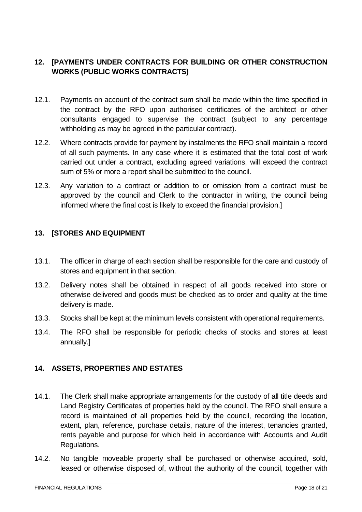#### <span id="page-17-0"></span>**12. [PAYMENTS UNDER CONTRACTS FOR BUILDING OR OTHER CONSTRUCTION WORKS (PUBLIC WORKS CONTRACTS)**

- 12.1. Payments on account of the contract sum shall be made within the time specified in the contract by the RFO upon authorised certificates of the architect or other consultants engaged to supervise the contract (subject to any percentage withholding as may be agreed in the particular contract).
- 12.2. Where contracts provide for payment by instalments the RFO shall maintain a record of all such payments. In any case where it is estimated that the total cost of work carried out under a contract, excluding agreed variations, will exceed the contract sum of 5% or more a report shall be submitted to the council.
- 12.3. Any variation to a contract or addition to or omission from a contract must be approved by the council and Clerk to the contractor in writing, the council being informed where the final cost is likely to exceed the financial provision.]

#### <span id="page-17-1"></span>**13. [STORES AND EQUIPMENT**

- 13.1. The officer in charge of each section shall be responsible for the care and custody of stores and equipment in that section.
- 13.2. Delivery notes shall be obtained in respect of all goods received into store or otherwise delivered and goods must be checked as to order and quality at the time delivery is made.
- 13.3. Stocks shall be kept at the minimum levels consistent with operational requirements.
- 13.4. The RFO shall be responsible for periodic checks of stocks and stores at least annually.]

#### <span id="page-17-2"></span>**14. ASSETS, PROPERTIES AND ESTATES**

- 14.1. The Clerk shall make appropriate arrangements for the custody of all title deeds and Land Registry Certificates of properties held by the council. The RFO shall ensure a record is maintained of all properties held by the council, recording the location, extent, plan, reference, purchase details, nature of the interest, tenancies granted, rents payable and purpose for which held in accordance with Accounts and Audit Regulations.
- 14.2. No tangible moveable property shall be purchased or otherwise acquired, sold, leased or otherwise disposed of, without the authority of the council, together with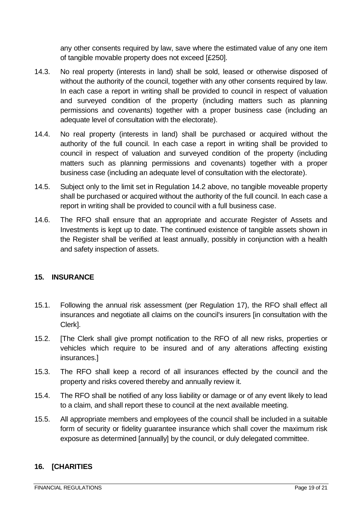any other consents required by law, save where the estimated value of any one item of tangible movable property does not exceed [£250].

- 14.3. No real property (interests in land) shall be sold, leased or otherwise disposed of without the authority of the council, together with any other consents required by law. In each case a report in writing shall be provided to council in respect of valuation and surveyed condition of the property (including matters such as planning permissions and covenants) together with a proper business case (including an adequate level of consultation with the electorate).
- 14.4. No real property (interests in land) shall be purchased or acquired without the authority of the full council. In each case a report in writing shall be provided to council in respect of valuation and surveyed condition of the property (including matters such as planning permissions and covenants) together with a proper business case (including an adequate level of consultation with the electorate).
- 14.5. Subject only to the limit set in Regulation 14.2 above, no tangible moveable property shall be purchased or acquired without the authority of the full council. In each case a report in writing shall be provided to council with a full business case.
- 14.6. The RFO shall ensure that an appropriate and accurate Register of Assets and Investments is kept up to date. The continued existence of tangible assets shown in the Register shall be verified at least annually, possibly in conjunction with a health and safety inspection of assets.

#### <span id="page-18-0"></span>**15. INSURANCE**

- 15.1. Following the annual risk assessment (per Regulation 17), the RFO shall effect all insurances and negotiate all claims on the council's insurers [in consultation with the Clerk].
- 15.2. [The Clerk shall give prompt notification to the RFO of all new risks, properties or vehicles which require to be insured and of any alterations affecting existing insurances.]
- 15.3. The RFO shall keep a record of all insurances effected by the council and the property and risks covered thereby and annually review it.
- 15.4. The RFO shall be notified of any loss liability or damage or of any event likely to lead to a claim, and shall report these to council at the next available meeting.
- 15.5. All appropriate members and employees of the council shall be included in a suitable form of security or fidelity guarantee insurance which shall cover the maximum risk exposure as determined [annually] by the council, or duly delegated committee.

#### <span id="page-18-1"></span>**16. [CHARITIES**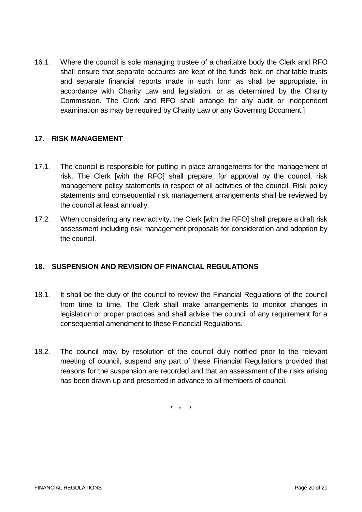16.1. Where the council is sole managing trustee of a charitable body the Clerk and RFO shall ensure that separate accounts are kept of the funds held on charitable trusts and separate financial reports made in such form as shall be appropriate, in accordance with Charity Law and legislation, or as determined by the Charity Commission. The Clerk and RFO shall arrange for any audit or independent examination as may be required by Charity Law or any Governing Document.]

#### <span id="page-19-0"></span>**17. RISK MANAGEMENT**

- 17.1. The council is responsible for putting in place arrangements for the management of risk. The Clerk [with the RFO] shall prepare, for approval by the council, risk management policy statements in respect of all activities of the council. Risk policy statements and consequential risk management arrangements shall be reviewed by the council at least annually.
- 17.2. When considering any new activity, the Clerk [with the RFO] shall prepare a draft risk assessment including risk management proposals for consideration and adoption by the council.

#### <span id="page-19-1"></span>**18. SUSPENSION AND REVISION OF FINANCIAL REGULATIONS**

- 18.1. It shall be the duty of the council to review the Financial Regulations of the council from time to time. The Clerk shall make arrangements to monitor changes in legislation or proper practices and shall advise the council of any requirement for a consequential amendment to these Financial Regulations.
- 18.2. The council may, by resolution of the council duly notified prior to the relevant meeting of council, suspend any part of these Financial Regulations provided that reasons for the suspension are recorded and that an assessment of the risks arising has been drawn up and presented in advance to all members of council.

\* \* \*